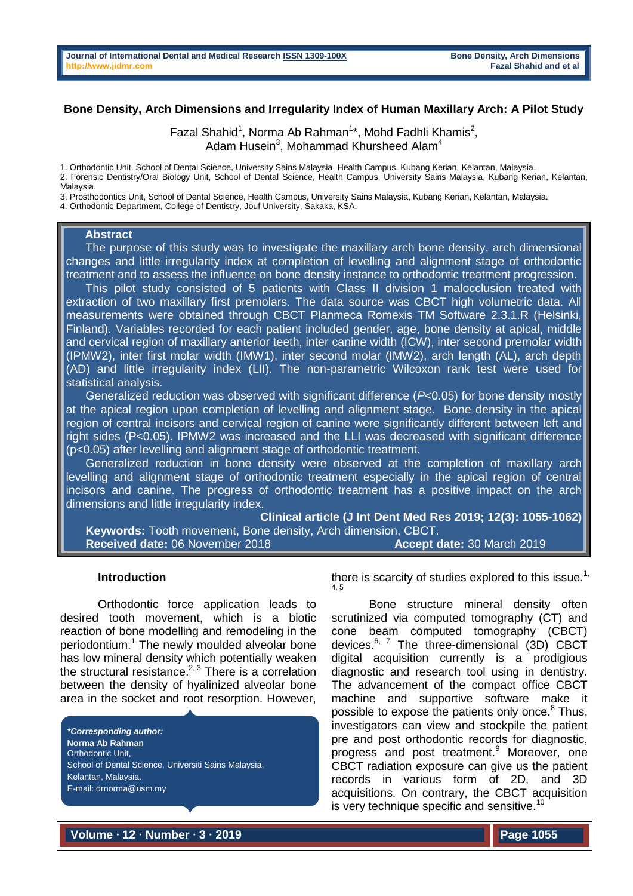### **Bone Density, Arch Dimensions and Irregularity Index of Human Maxillary Arch: A Pilot Study**

Fazal Shahid<sup>1</sup>, Norma Ab Rahman<sup>1\*</sup>, Mohd Fadhli Khamis<sup>2</sup>, Adam Husein $^3$ , Mohammad Khursheed Alam $^4$ 

1. Orthodontic Unit, School of Dental Science, University Sains Malaysia, Health Campus, Kubang Kerian, Kelantan, Malaysia.

2. Forensic Dentistry/Oral Biology Unit, School of Dental Science, Health Campus, University Sains Malaysia, Kubang Kerian, Kelantan, Malaysia.

3. Prosthodontics Unit, School of Dental Science, Health Campus, University Sains Malaysia, Kubang Kerian, Kelantan, Malaysia. 4. Orthodontic Department, College of Dentistry, Jouf University, Sakaka, KSA.

#### **Abstract**

 The purpose of this study was to investigate the maxillary arch bone density, arch dimensional changes and little irregularity index at completion of levelling and alignment stage of orthodontic treatment and to assess the influence on bone density instance to orthodontic treatment progression.

 This pilot study consisted of 5 patients with Class II division 1 malocclusion treated with extraction of two maxillary first premolars. The data source was CBCT high volumetric data. All measurements were obtained through CBCT Planmeca Romexis TM Software 2.3.1.R (Helsinki, Finland). Variables recorded for each patient included gender, age, bone density at apical, middle and cervical region of maxillary anterior teeth, inter canine width (ICW), inter second premolar width (IPMW2), inter first molar width (IMW1), inter second molar (IMW2), arch length (AL), arch depth (AD) and little irregularity index (LII). The non-parametric Wilcoxon rank test were used for statistical analysis.

 Generalized reduction was observed with significant difference (*P*<0.05) for bone density mostly at the apical region upon completion of levelling and alignment stage. Bone density in the apical region of central incisors and cervical region of canine were significantly different between left and right sides (P<0.05). IPMW2 was increased and the LLI was decreased with significant difference (p<0.05) after levelling and alignment stage of orthodontic treatment.

 Generalized reduction in bone density were observed at the completion of maxillary arch levelling and alignment stage of orthodontic treatment especially in the apical region of central incisors and canine. The progress of orthodontic treatment has a positive impact on the arch dimensions and little irregularity index.

**Clinical article (J Int Dent Med Res 2019; 12(3): 1055-1062) Keywords:** Tooth movement, Bone density, Arch dimension, CBCT. **Received date:** 06 November 2018 **Accept date:** 30 March 2019

#### **Introduction**

Orthodontic force application leads to desired tooth movement, which is a biotic reaction of bone modelling and remodeling in the periodontium.<sup>1</sup> The newly moulded alveolar bone has low mineral density which potentially weaken the structural resistance.<sup>2, 3</sup> There is a correlation between the density of hyalinized alveolar bone area in the socket and root resorption. However,

*\*Corresponding author:* **Norma Ab Rahman** Orthodontic Unit, School of Dental Science, Universiti Sains Malaysia, Kelantan, Malaysia. E-mail: drnorma@usm.my

there is scarcity of studies explored to this issue.<sup>1,</sup> 4, 5

Bone structure mineral density often scrutinized via computed tomography (CT) and cone beam computed tomography (CBCT) devices.<sup>6, 7</sup> The three-dimensional (3D) CBCT digital acquisition currently is a prodigious diagnostic and research tool using in dentistry. The advancement of the compact office CBCT machine and supportive software make it possible to expose the patients only once.<sup>8</sup> Thus, investigators can view and stockpile the patient pre and post orthodontic records for diagnostic, progress and post treatment.<sup>9</sup> Moreover, one CBCT radiation exposure can give us the patient records in various form of 2D, and 3D acquisitions. On contrary, the CBCT acquisition is very technique specific and sensitive.<sup>10</sup>

**Volume ∙ 12 ∙ Number ∙ 3 ∙ 2019**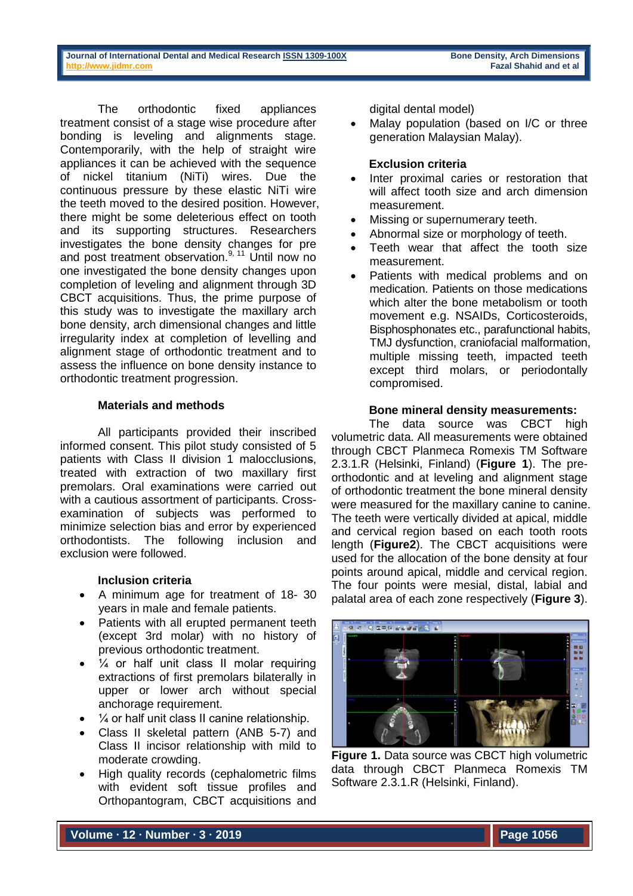The orthodontic fixed appliances treatment consist of a stage wise procedure after bonding is leveling and alignments stage. Contemporarily, with the help of straight wire appliances it can be achieved with the sequence of nickel titanium (NiTi) wires. Due the continuous pressure by these elastic NiTi wire the teeth moved to the desired position. However, there might be some deleterious effect on tooth and its supporting structures. Researchers investigates the bone density changes for pre and post treatment observation.<sup>9, 11</sup> Until now no one investigated the bone density changes upon completion of leveling and alignment through 3D CBCT acquisitions. Thus, the prime purpose of this study was to investigate the maxillary arch bone density, arch dimensional changes and little irregularity index at completion of levelling and alignment stage of orthodontic treatment and to assess the influence on bone density instance to orthodontic treatment progression.

## **Materials and methods**

All participants provided their inscribed informed consent. This pilot study consisted of 5 patients with Class II division 1 malocclusions, treated with extraction of two maxillary first premolars. Oral examinations were carried out with a cautious assortment of participants. Crossexamination of subjects was performed to minimize selection bias and error by experienced orthodontists. The following inclusion and exclusion were followed.

## **Inclusion criteria**

- A minimum age for treatment of 18-30 years in male and female patients.
- Patients with all erupted permanent teeth (except 3rd molar) with no history of previous orthodontic treatment.
- $\bullet$   $\frac{1}{4}$  or half unit class II molar requiring extractions of first premolars bilaterally in upper or lower arch without special anchorage requirement.
- $\frac{1}{4}$  or half unit class II canine relationship.
- Class II skeletal pattern (ANB 5-7) and Class II incisor relationship with mild to moderate crowding.
- High quality records (cephalometric films with evident soft tissue profiles and Orthopantogram, CBCT acquisitions and

digital dental model)

• Malay population (based on I/C or three generation Malaysian Malay).

# **Exclusion criteria**

- Inter proximal caries or restoration that will affect tooth size and arch dimension measurement.
- Missing or supernumerary teeth.
- Abnormal size or morphology of teeth.
- Teeth wear that affect the tooth size measurement.
- Patients with medical problems and on medication. Patients on those medications which alter the bone metabolism or tooth movement e.g. NSAIDs, Corticosteroids, Bisphosphonates etc., parafunctional habits, TMJ dysfunction, craniofacial malformation, multiple missing teeth, impacted teeth except third molars, or periodontally compromised.

# **Bone mineral density measurements:**

The data source was CBCT high volumetric data. All measurements were obtained through CBCT Planmeca Romexis TM Software 2.3.1.R (Helsinki, Finland) (**Figure 1**). The preorthodontic and at leveling and alignment stage of orthodontic treatment the bone mineral density were measured for the maxillary canine to canine. The teeth were vertically divided at apical, middle and cervical region based on each tooth roots length (**Figure2**). The CBCT acquisitions were used for the allocation of the bone density at four points around apical, middle and cervical region. The four points were mesial, distal, labial and palatal area of each zone respectively (**Figure 3**).



**Figure 1.** Data source was CBCT high volumetric data through CBCT Planmeca Romexis TM Software 2.3.1.R (Helsinki, Finland).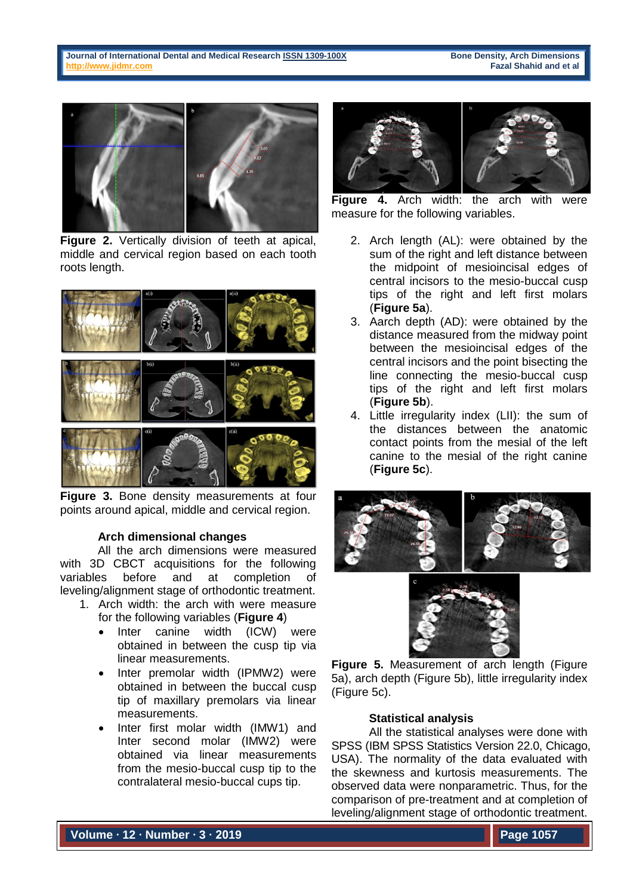

**Figure 2.** Vertically division of teeth at apical, middle and cervical region based on each tooth roots length.



**Figure 3.** Bone density measurements at four points around apical, middle and cervical region.

#### **Arch dimensional changes**

All the arch dimensions were measured with 3D CBCT acquisitions for the following variables before and at completion of leveling/alignment stage of orthodontic treatment.

- 1. Arch width: the arch with were measure for the following variables (**Figure 4**)
	- Inter canine width (ICW) were obtained in between the cusp tip via linear measurements.
	- Inter premolar width (IPMW2) were obtained in between the buccal cusp tip of maxillary premolars via linear measurements.
	- Inter first molar width (IMW1) and Inter second molar (IMW2) were obtained via linear measurements from the mesio-buccal cusp tip to the contralateral mesio-buccal cups tip.



**Figure 4.** Arch width: the arch with were measure for the following variables.

- 2. Arch length (AL): were obtained by the sum of the right and left distance between the midpoint of mesioincisal edges of central incisors to the mesio-buccal cusp tips of the right and left first molars (**Figure 5a**).
- 3. Aarch depth (AD): were obtained by the distance measured from the midway point between the mesioincisal edges of the central incisors and the point bisecting the line connecting the mesio-buccal cusp tips of the right and left first molars (**Figure 5b**).
- 4. Little irregularity index (LII): the sum of the distances between the anatomic contact points from the mesial of the left canine to the mesial of the right canine (**Figure 5c**).





**Figure 5.** Measurement of arch length (Figure 5a), arch depth (Figure 5b), little irregularity index (Figure 5c).

#### **Statistical analysis**

All the statistical analyses were done with SPSS (IBM SPSS Statistics Version 22.0, Chicago, USA). The normality of the data evaluated with the skewness and kurtosis measurements. The observed data were nonparametric. Thus, for the comparison of pre-treatment and at completion of leveling/alignment stage of orthodontic treatment.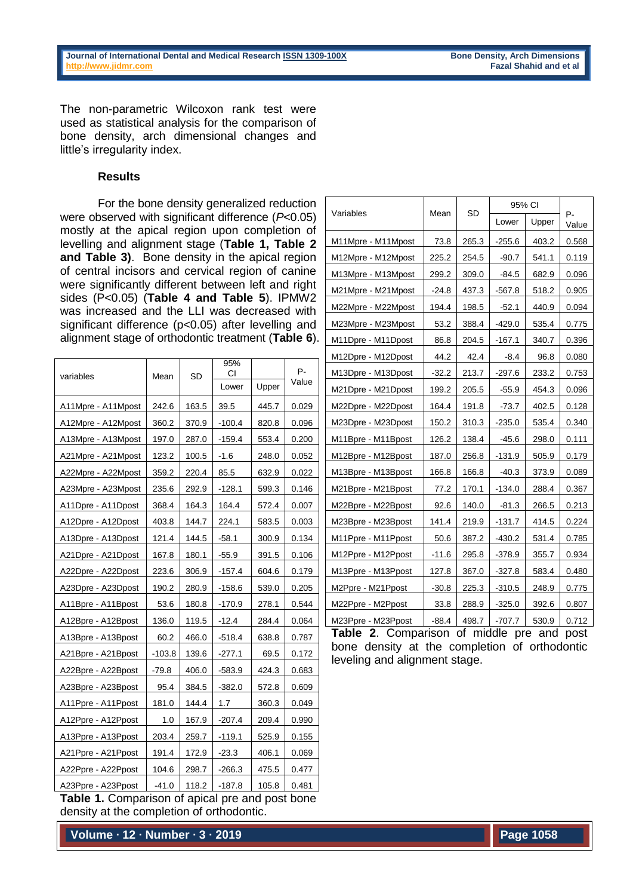The non-parametric Wilcoxon rank test were used as statistical analysis for the comparison of bone density, arch dimensional changes and little's irregularity index.

#### **Results**

For the bone density generalized reduction were observed with significant difference (*P*<0.05) mostly at the apical region upon completion of levelling and alignment stage (**Table 1, Table 2 and Table 3)**. Bone density in the apical region of central incisors and cervical region of canine were significantly different between left and right sides (P<0.05) (**Table 4 and Table 5**). IPMW2 was increased and the LLI was decreased with significant difference (p<0.05) after levelling and alignment stage of orthodontic treatment (**Table 6**).

| variables          | Mean     | SD    | 95%<br>СI |       | P-<br>Value |  |
|--------------------|----------|-------|-----------|-------|-------------|--|
|                    |          |       | Lower     | Upper |             |  |
| A11Mpre - A11Mpost | 242.6    | 163.5 | 39.5      | 445.7 | 0.029       |  |
| A12Mpre - A12Mpost | 360.2    | 370.9 | $-100.4$  | 820.8 | 0.096       |  |
| A13Mpre - A13Mpost | 197.0    | 287.0 | $-159.4$  | 553.4 | 0.200       |  |
| A21Mpre - A21Mpost | 123.2    | 100.5 | $-1.6$    | 248.0 | 0.052       |  |
| A22Mpre - A22Mpost | 359.2    | 220.4 | 85.5      | 632.9 | 0.022       |  |
| A23Mpre - A23Mpost | 235.6    | 292.9 | $-128.1$  | 599.3 | 0.146       |  |
| A11Dpre - A11Dpost | 368.4    | 164.3 | 164.4     | 572.4 | 0.007       |  |
| A12Dpre - A12Dpost | 403.8    | 144.7 | 224.1     | 583.5 | 0.003       |  |
| A13Dpre - A13Dpost | 121.4    | 144.5 | $-58.1$   | 300.9 | 0.134       |  |
| A21Dpre - A21Dpost | 167.8    | 180.1 | $-55.9$   | 391.5 | 0.106       |  |
| A22Dpre - A22Dpost | 223.6    | 306.9 | $-157.4$  | 604.6 | 0.179       |  |
| A23Dpre - A23Dpost | 190.2    | 280.9 | $-158.6$  | 539.0 | 0.205       |  |
| A11Bpre - A11Bpost | 53.6     | 180.8 | $-170.9$  | 278.1 | 0.544       |  |
| A12Bpre - A12Bpost | 136.0    | 119.5 | -12.4     | 284.4 | 0.064       |  |
| A13Bpre - A13Bpost | 60.2     | 466.0 | $-518.4$  | 638.8 | 0.787       |  |
| A21Bpre - A21Bpost | $-103.8$ | 139.6 | -277.1    | 69.5  | 0.172       |  |
| A22Bpre - A22Bpost | $-79.8$  | 406.0 | $-583.9$  | 424.3 | 0.683       |  |
| A23Bpre - A23Bpost | 95.4     | 384.5 | $-382.0$  | 572.8 | 0.609       |  |
| A11Ppre - A11Ppost | 181.0    | 144.4 | 1.7       | 360.3 | 0.049       |  |
| A12Ppre - A12Ppost | 1.0      | 167.9 | $-207.4$  | 209.4 | 0.990       |  |
| A13Ppre - A13Ppost | 203.4    | 259.7 | $-119.1$  | 525.9 | 0.155       |  |
| A21Ppre - A21Ppost | 191.4    | 172.9 | $-23.3$   | 406.1 | 0.069       |  |
| A22Ppre - A22Ppost | 104.6    | 298.7 | $-266.3$  | 475.5 | 0.477       |  |
| A23Ppre - A23Ppost | $-41.0$  | 118.2 | $-187.8$  | 105.8 | 0.481       |  |

**Table 1.** Comparison of apical pre and post bone density at the completion of orthodontic.

**Volume ∙ 12 ∙ Number ∙ 3 ∙ 2019**

|                    |         | <b>SD</b> | 95% CI   |       |             |
|--------------------|---------|-----------|----------|-------|-------------|
| Variables          | Mean    |           | Lower    | Upper | P-<br>Value |
| M11Mpre - M11Mpost | 73.8    | 265.3     | $-255.6$ | 403.2 | 0.568       |
| M12Mpre - M12Mpost | 225.2   | 254.5     | $-90.7$  | 541.1 | 0.119       |
| M13Mpre - M13Mpost | 299.2   | 309.0     | -84.5    | 682.9 | 0.096       |
| M21Mpre - M21Mpost | $-24.8$ | 437.3     | $-567.8$ | 518.2 | 0.905       |
| M22Mpre - M22Mpost | 194.4   | 198.5     | $-52.1$  | 440.9 | 0.094       |
| M23Mpre - M23Mpost | 53.2    | 388.4     | $-429.0$ | 535.4 | 0.775       |
| M11Dpre - M11Dpost | 86.8    | 204.5     | $-167.1$ | 340.7 | 0.396       |
| M12Dpre - M12Dpost | 44.2    | 42.4      | $-8.4$   | 96.8  | 0.080       |
| M13Dpre - M13Dpost | $-32.2$ | 213.7     | $-297.6$ | 233.2 | 0.753       |
| M21Dpre - M21Dpost | 199.2   | 205.5     | $-55.9$  | 454.3 | 0.096       |
| M22Dpre - M22Dpost | 164.4   | 191.8     | $-73.7$  | 402.5 | 0.128       |
| M23Dpre - M23Dpost | 150.2   | 310.3     | $-235.0$ | 535.4 | 0.340       |
| M11Bpre - M11Bpost | 126.2   | 138.4     | -45.6    | 298.0 | 0.111       |
| M12Bpre - M12Bpost | 187.0   | 256.8     | $-131.9$ | 505.9 | 0.179       |
| M13Bpre - M13Bpost | 166.8   | 166.8     | $-40.3$  | 373.9 | 0.089       |
| M21Bpre - M21Bpost | 77.2    | 170.1     | $-134.0$ | 288.4 | 0.367       |
| M22Bpre - M22Bpost | 92.6    | 140.0     | $-81.3$  | 266.5 | 0.213       |
| M23Bpre - M23Bpost | 141.4   | 219.9     | $-131.7$ | 414.5 | 0.224       |
| M11Ppre - M11Ppost | 50.6    | 387.2     | $-430.2$ | 531.4 | 0.785       |
| M12Ppre - M12Ppost | $-11.6$ | 295.8     | $-378.9$ | 355.7 | 0.934       |
| M13Ppre - M13Ppost | 127.8   | 367.0     | $-327.8$ | 583.4 | 0.480       |
| M2Ppre - M21Ppost  | $-30.8$ | 225.3     | $-310.5$ | 248.9 | 0.775       |
| M22Ppre - M2Ppost  | 33.8    | 288.9     | $-325.0$ | 392.6 | 0.807       |
| M23Ppre - M23Ppost | $-88.4$ | 498.7     | $-707.7$ | 530.9 | 0.712       |

**Table 2**. Comparison of middle pre and post bone density at the completion of orthodontic leveling and alignment stage.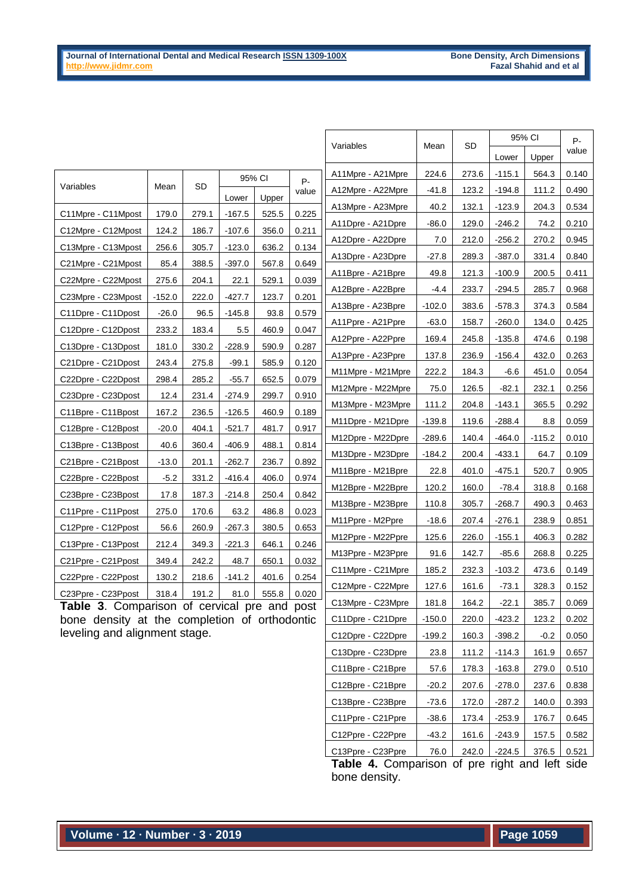|                                                 |          |       | Mean     | SD     | 95% CI     |                   | P-       |       |          |          |       |
|-------------------------------------------------|----------|-------|----------|--------|------------|-------------------|----------|-------|----------|----------|-------|
|                                                 |          |       |          |        |            | Variables         |          |       | Lower    | Upper    | value |
|                                                 |          |       |          | 95% CI | <b>P</b> - | A11Mpre - A21Mpre | 224.6    | 273.6 | $-115.1$ | 564.3    | 0.140 |
| Variables                                       | Mean     | SD    |          |        | value      | A12Mpre - A22Mpre | $-41.8$  | 123.2 | $-194.8$ | 111.2    | 0.490 |
|                                                 |          |       | Lower    | Upper  |            | A13Mpre - A23Mpre | 40.2     | 132.1 | $-123.9$ | 204.3    | 0.534 |
| C11Mpre - C11Mpost                              | 179.0    | 279.1 | $-167.5$ | 525.5  | 0.225      | A11Dpre - A21Dpre | $-86.0$  | 129.0 | $-246.2$ | 74.2     | 0.210 |
| C12Mpre - C12Mpost                              | 124.2    | 186.7 | $-107.6$ | 356.0  | 0.211      | A12Dpre - A22Dpre | 7.0      | 212.0 | $-256.2$ | 270.2    | 0.945 |
| C13Mpre - C13Mpost                              | 256.6    | 305.7 | $-123.0$ | 636.2  | 0.134      | A13Dpre - A23Dpre | $-27.8$  | 289.3 | $-387.0$ | 331.4    | 0.840 |
| C21Mpre - C21Mpost                              | 85.4     | 388.5 | $-397.0$ | 567.8  | 0.649      | A11Bpre - A21Bpre | 49.8     | 121.3 | $-100.9$ | 200.5    | 0.411 |
| C22Mpre - C22Mpost                              | 275.6    | 204.1 | 22.1     | 529.1  | 0.039      | A12Bpre - A22Bpre | -4.4     | 233.7 | $-294.5$ | 285.7    | 0.968 |
| C23Mpre - C23Mpost                              | $-152.0$ | 222.0 | $-427.7$ | 123.7  | 0.201      | A13Bpre - A23Bpre | $-102.0$ | 383.6 | $-578.3$ | 374.3    | 0.584 |
| C11Dpre - C11Dpost                              | $-26.0$  | 96.5  | $-145.8$ | 93.8   | 0.579      | A11Ppre - A21Ppre | $-63.0$  | 158.7 | $-260.0$ | 134.0    | 0.425 |
| C12Dpre - C12Dpost                              | 233.2    | 183.4 | 5.5      | 460.9  | 0.047      | A12Ppre - A22Ppre | 169.4    | 245.8 | $-135.8$ | 474.6    | 0.198 |
| C13Dpre - C13Dpost                              | 181.0    | 330.2 | $-228.9$ | 590.9  | 0.287      | A13Ppre - A23Ppre | 137.8    | 236.9 | $-156.4$ | 432.0    | 0.263 |
| C21Dpre - C21Dpost                              | 243.4    | 275.8 | $-99.1$  | 585.9  | 0.120      | M11Mpre - M21Mpre | 222.2    | 184.3 | $-6.6$   | 451.0    | 0.054 |
| C22Dpre - C22Dpost                              | 298.4    | 285.2 | $-55.7$  | 652.5  | 0.079      | M12Mpre - M22Mpre | 75.0     | 126.5 | -82.1    | 232.1    | 0.256 |
| C23Dpre - C23Dpost                              | 12.4     | 231.4 | $-274.9$ | 299.7  | 0.910      | M13Mpre - M23Mpre | 111.2    | 204.8 | $-143.1$ | 365.5    | 0.292 |
| C11Bpre - C11Bpost                              | 167.2    | 236.5 | $-126.5$ | 460.9  | 0.189      | M11Dpre - M21Dpre | $-139.8$ | 119.6 | -288.4   | 8.8      | 0.059 |
| C12Bpre - C12Bpost                              | $-20.0$  | 404.1 | $-521.7$ | 481.7  | 0.917      | M12Dpre - M22Dpre | $-289.6$ | 140.4 | $-464.0$ | $-115.2$ | 0.010 |
| C13Bpre - C13Bpost                              | 40.6     | 360.4 | $-406.9$ | 488.1  | 0.814      |                   | $-184.2$ | 200.4 | $-433.1$ | 64.7     |       |
| C21Bpre - C21Bpost                              | $-13.0$  | 201.1 | $-262.7$ | 236.7  | 0.892      | M13Dpre - M23Dpre |          |       |          |          | 0.109 |
| C22Bpre - C22Bpost                              | $-5.2$   | 331.2 | $-416.4$ | 406.0  | 0.974      | M11Bpre - M21Bpre | 22.8     | 401.0 | $-475.1$ | 520.7    | 0.905 |
| C23Bpre - C23Bpost                              | 17.8     | 187.3 | $-214.8$ | 250.4  | 0.842      | M12Bpre - M22Bpre | 120.2    | 160.0 | $-78.4$  | 318.8    | 0.168 |
| C11Ppre - C11Ppost                              | 275.0    | 170.6 | 63.2     | 486.8  | 0.023      | M13Bpre - M23Bpre | 110.8    | 305.7 | $-268.7$ | 490.3    | 0.463 |
| C12Ppre - C12Ppost                              | 56.6     | 260.9 | $-267.3$ | 380.5  | 0.653      | M11Ppre - M2Ppre  | $-18.6$  | 207.4 | $-276.1$ | 238.9    | 0.851 |
| C13Ppre - C13Ppost                              | 212.4    | 349.3 | $-221.3$ | 646.1  | 0.246      | M12Ppre - M22Ppre | 125.6    | 226.0 | $-155.1$ | 406.3    | 0.282 |
| C21Ppre - C21Ppost                              | 349.4    | 242.2 | 48.7     | 650.1  | 0.032      | M13Ppre - M23Ppre | 91.6     | 142.7 | $-85.6$  | 268.8    | 0.225 |
| C22Ppre - C22Ppost                              | 130.2    | 218.6 | $-141.2$ | 401.6  | 0.254      | C11Mpre - C21Mpre | 185.2    | 232.3 | $-103.2$ | 473.6    | 0.149 |
| C23Ppre - C23Ppost                              | 318.4    | 191.2 | 81.0     | 555.8  | 0.020      | C12Mpre - C22Mpre | 127.6    | 161.6 | $-73.1$  | 328.3    | 0.152 |
| Table 3. Comparison of cervical pre and<br>post |          |       |          |        |            | C13Mpre - C23Mpre | 181.8    | 164.2 | $-22.1$  | 385.7    | 0.069 |
| bone density at the completion of orthodontic   |          |       |          |        |            | C11Dpre - C21Dpre | $-150.0$ | 220.0 | $-423.2$ | 123.2    | 0.202 |

bone density at the completion of orthodontic leveling and alignment stage.

> C13Bpre - C23Bpre  $\begin{vmatrix} -73.6 & 172.0 & -287.2 & 140.0 & 0.393 \end{vmatrix}$  $C11Ppre - C21Ppre \ \ \ \ \ \ \ \ \ \ \ \ \ \ \ \ 38.6 \ \ \ \ \ \ \ \ \ 173.4 \ \ \ \ \ \ \ \ \ \ \ \ \ \ \ \ \ \ \ \ \ \ 176.7 \ \ \ \ \ \ \ 0.645$  $C12Ppre - C22Ppre$  -43.2 161.6 -243.9 157.5 0.582 C13Ppre - C23Ppre 76.0 242.0 -224.5 376.5 0.521 **Table 4.** Comparison of pre right and left side bone density.

 $C12Dpre - C22Dpre \mid -199.2 \mid 160.3 \mid -398.2 \mid -0.2 \mid 0.050$ C13Dpre - C23Dpre | 23.8 | 111.2 | -114.3 | 161.9 | 0.657  $C11Bpre - C21Bpre$  | 57.6 | 178.3 | -163.8 | 279.0 | 0.510  $C12Bpre - C21Bpre$  -20.2 207.6 -278.0 237.6 0.838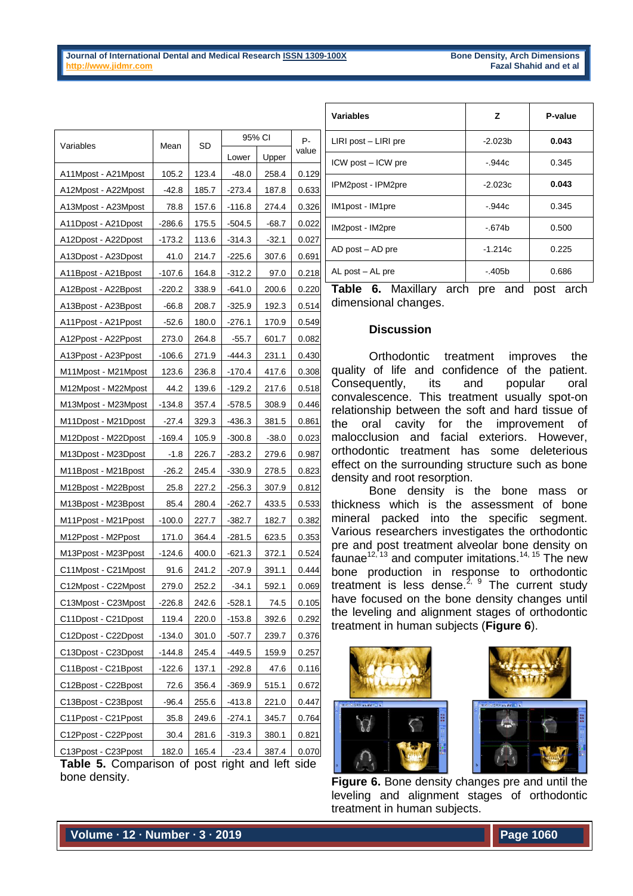| Variables           | Mean     | SD    | 95% CI   | P-      |       |
|---------------------|----------|-------|----------|---------|-------|
|                     |          |       | Lower    | Upper   | value |
| A11Mpost - A21Mpost | 105.2    | 123.4 | $-48.0$  | 258.4   | 0.129 |
| A12Mpost - A22Mpost | $-42.8$  | 185.7 | -273.4   | 187.8   | 0.633 |
| A13Mpost - A23Mpost | 78.8     | 157.6 | -116.8   | 274.4   | 0.326 |
| A11Dpost - A21Dpost | -286.6   | 175.5 | -504.5   | $-68.7$ | 0.022 |
| A12Dpost - A22Dpost | -173.2   | 113.6 | -314.3   | $-32.1$ | 0.027 |
| A13Dpost - A23Dpost | 41.0     | 214.7 | -225.6   | 307.6   | 0.691 |
| A11Bpost - A21Bpost | $-107.6$ | 164.8 | $-312.2$ | 97.0    | 0.218 |
| A12Bpost - A22Bpost | -220.2   | 338.9 | -641.0   | 200.6   | 0.220 |
| A13Bpost - A23Bpost | $-66.8$  | 208.7 | $-325.9$ | 192.3   | 0.514 |
| A11Ppost - A21Ppost | -52.6    | 180.0 | $-276.1$ | 170.9   | 0.549 |
| A12Ppost - A22Ppost | 273.0    | 264.8 | $-55.7$  | 601.7   | 0.082 |
| A13Ppost - A23Ppost | -106.6   | 271.9 | -444.3   | 231.1   | 0.430 |
| M11Mpost - M21Mpost | 123.6    | 236.8 | $-170.4$ | 417.6   | 0.308 |
| M12Mpost - M22Mpost | 44.2     | 139.6 | $-129.2$ | 217.6   | 0.518 |
| M13Mpost - M23Mpost | -134.8   | 357.4 | $-578.5$ | 308.9   | 0.446 |
| M11Dpost - M21Dpost | $-27.4$  | 329.3 | -436.3   | 381.5   | 0.861 |
| M12Dpost - M22Dpost | -169.4   | 105.9 | $-300.8$ | $-38.0$ | 0.023 |
| M13Dpost - M23Dpost | $-1.8$   | 226.7 | -283.2   | 279.6   | 0.987 |
| M11Bpost - M21Bpost | $-26.2$  | 245.4 | $-330.9$ | 278.5   | 0.823 |
| M12Bpost - M22Bpost | 25.8     | 227.2 | -256.3   | 307.9   | 0.812 |
| M13Bpost - M23Bpost | 85.4     | 280.4 | -262.7   | 433.5   | 0.533 |
| M11Ppost - M21Ppost | $-100.0$ | 227.7 | -382.7   | 182.7   | 0.382 |
| M12Ppost - M2Ppost  | 171.0    | 364.4 | $-281.5$ | 623.5   | 0.353 |
| M13Ppost - M23Ppost | -124.6   | 400.0 | -621.3   | 372.1   | 0.524 |
| C11Mpost - C21Mpost | 91.6     | 241.2 | $-207.9$ | 391.1   | 0.444 |
| C12Mpost - C22Mpost | 279.0    | 252.2 | -34.1    | 592.1   | 0.069 |
| C13Mpost - C23Mpost | $-226.8$ | 242.6 | $-528.1$ | 74.5    | 0.105 |
| C11Dpost - C21Dpost | 119.4    | 220.0 | $-153.8$ | 392.6   | 0.292 |
| C12Dpost - C22Dpost | $-134.0$ | 301.0 | $-507.7$ | 239.7   | 0.376 |
| C13Dpost - C23Dpost | $-144.8$ | 245.4 | $-449.5$ | 159.9   | 0.257 |
| C11Bpost - C21Bpost | $-122.6$ | 137.1 | $-292.8$ | 47.6    | 0.116 |
| C12Bpost - C22Bpost | 72.6     | 356.4 | $-369.9$ | 515.1   | 0.672 |
| C13Bpost - C23Bpost | $-96.4$  | 255.6 | -413.8   | 221.0   | 0.447 |
| C11Ppost - C21Ppost | 35.8     | 249.6 | $-274.1$ | 345.7   | 0.764 |
| C12Ppost - C22Ppost | 30.4     | 281.6 | $-319.3$ | 380.1   | 0.821 |
| C13Ppost - C23Ppost | 182.0    | 165.4 | $-23.4$  | 387.4   | 0.070 |

Table 5. Comparison of post right and left side bone density.

| <b>Variables</b>         | z         | P-value |
|--------------------------|-----------|---------|
| $LIRI$ post $-$ LIRI pre | $-2.023b$ | 0.043   |
| ICW post - ICW pre       | $-.944c$  | 0.345   |
| IPM2post - IPM2pre       | $-2.023c$ | 0.043   |
| IM1post - IM1pre         | $-.944c$  | 0.345   |
| IM2post - IM2pre         | -.674b    | 0.500   |
| $AD$ post $-$ AD pre     | $-1.214c$ | 0.225   |
| AL post - AL pre         | -.405b    | 0.686   |

**Table 6.** Maxillary arch pre and post arch dimensional changes.

### **Discussion**

Orthodontic treatment improves the quality of life and confidence of the patient. Consequently, its and popular oral convalescence. This treatment usually spot-on relationship between the soft and hard tissue of the oral cavity for the improvement of malocclusion and facial exteriors. However, orthodontic treatment has some deleterious effect on the surrounding structure such as bone density and root resorption.

Bone density is the bone mass or thickness which is the assessment of bone mineral packed into the specific segment. Various researchers investigates the orthodontic pre and post treatment alveolar bone density on faunae<sup>12, 13</sup> and computer imitations.<sup>14, 15</sup> The new bone production in response to orthodontic treatment is less dense.<sup>2, 9</sup> The current study have focused on the bone density changes until the leveling and alignment stages of orthodontic treatment in human subjects (**Figure 6**).





**Figure 6.** Bone density changes pre and until the leveling and alignment stages of orthodontic treatment in human subjects.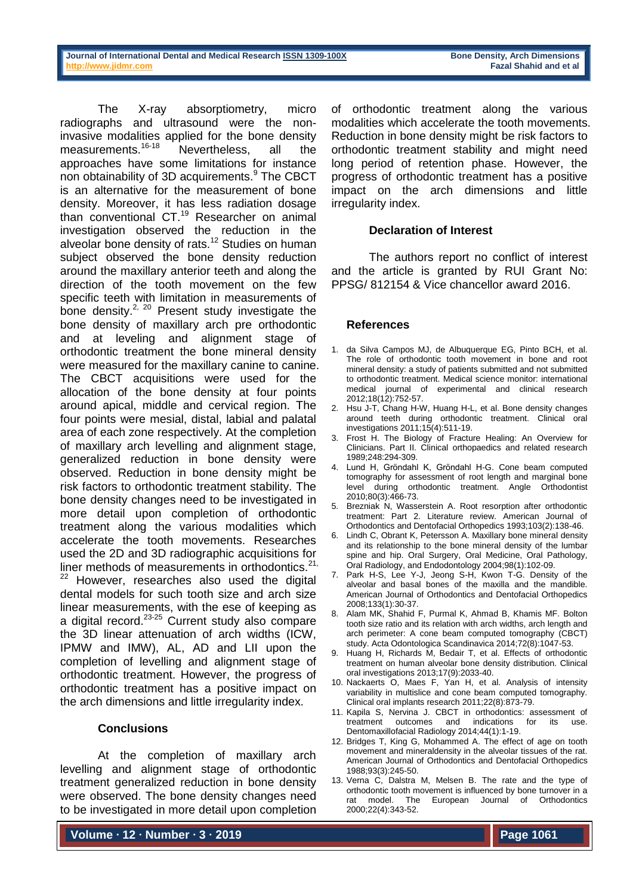The X-ray absorptiometry, micro radiographs and ultrasound were the noninvasive modalities applied for the bone density measurements.<sup>16-18</sup> Nevertheless, all the approaches have some limitations for instance non obtainability of 3D acquirements.<sup>9</sup> The CBCT is an alternative for the measurement of bone density. Moreover, it has less radiation dosage than conventional CT.<sup>19</sup> Researcher on animal investigation observed the reduction in the alveolar bone density of rats.<sup>12</sup> Studies on human subject observed the bone density reduction around the maxillary anterior teeth and along the direction of the tooth movement on the few specific teeth with limitation in measurements of bone density.<sup>2, 20</sup> Present study investigate the bone density of maxillary arch pre orthodontic and at leveling and alignment stage of orthodontic treatment the bone mineral density were measured for the maxillary canine to canine. The CBCT acquisitions were used for the allocation of the bone density at four points around apical, middle and cervical region. The four points were mesial, distal, labial and palatal area of each zone respectively. At the completion of maxillary arch levelling and alignment stage, generalized reduction in bone density were observed. Reduction in bone density might be risk factors to orthodontic treatment stability. The bone density changes need to be investigated in more detail upon completion of orthodontic treatment along the various modalities which accelerate the tooth movements. Researches used the 2D and 3D radiographic acquisitions for liner methods of measurements in orthodontics. $2^{21}$ ,  $22$  However, researches also used the digital dental models for such tooth size and arch size linear measurements, with the ese of keeping as a digital record. $23-25$  Current study also compare the 3D linear attenuation of arch widths (ICW, IPMW and IMW), AL, AD and LII upon the completion of levelling and alignment stage of orthodontic treatment. However, the progress of orthodontic treatment has a positive impact on the arch dimensions and little irregularity index.

#### **Conclusions**

At the completion of maxillary arch levelling and alignment stage of orthodontic treatment generalized reduction in bone density were observed. The bone density changes need to be investigated in more detail upon completion

**Volume ∙ 12 ∙ Number ∙ 3 ∙ 2019**

of orthodontic treatment along the various modalities which accelerate the tooth movements. Reduction in bone density might be risk factors to orthodontic treatment stability and might need long period of retention phase. However, the progress of orthodontic treatment has a positive impact on the arch dimensions and little irregularity index.

#### **Declaration of Interest**

The authors report no conflict of interest and the article is granted by RUI Grant No: PPSG/ 812154 & Vice chancellor award 2016.

#### **References**

- 1. da Silva Campos MJ, de Albuquerque EG, Pinto BCH, et al. The role of orthodontic tooth movement in bone and root mineral density: a study of patients submitted and not submitted to orthodontic treatment. Medical science monitor: international medical journal of experimental and clinical research 2012;18(12):752-57.
- 2. Hsu J-T, Chang H-W, Huang H-L, et al. Bone density changes around teeth during orthodontic treatment. Clinical oral investigations 2011;15(4):511-19.
- 3. Frost H. The Biology of Fracture Healing: An Overview for Clinicians. Part II. Clinical orthopaedics and related research 1989;248:294-309.
- 4. Lund H, Gröndahl K, Gröndahl H-G. Cone beam computed tomography for assessment of root length and marginal bone level during orthodontic treatment. Angle Orthodontist 2010;80(3):466-73.
- 5. Brezniak N, Wasserstein A. Root resorption after orthodontic treatment: Part 2. Literature review. American Journal of Orthodontics and Dentofacial Orthopedics 1993;103(2):138-46.
- 6. Lindh C, Obrant K, Petersson A. Maxillary bone mineral density and its relationship to the bone mineral density of the lumbar spine and hip. Oral Surgery, Oral Medicine, Oral Pathology, Oral Radiology, and Endodontology 2004;98(1):102-09.
- 7. Park H-S, Lee Y-J, Jeong S-H, Kwon T-G. Density of the alveolar and basal bones of the maxilla and the mandible. American Journal of Orthodontics and Dentofacial Orthopedics 2008;133(1):30-37.
- 8. Alam MK, Shahid F, Purmal K, Ahmad B, Khamis MF. Bolton tooth size ratio and its relation with arch widths, arch length and arch perimeter: A cone beam computed tomography (CBCT) study. Acta Odontologica Scandinavica 2014;72(8):1047-53.
- 9. Huang H, Richards M, Bedair T, et al. Effects of orthodontic treatment on human alveolar bone density distribution. Clinical oral investigations 2013;17(9):2033-40.
- 10. Nackaerts O, Maes F, Yan H, et al. Analysis of intensity variability in multislice and cone beam computed tomography. Clinical oral implants research 2011;22(8):873-79.
- 11. Kapila S, Nervina J. CBCT in orthodontics: assessment of treatment outcomes and indications for its use. Dentomaxillofacial Radiology 2014;44(1):1-19.
- 12. Bridges T, King G, Mohammed A. The effect of age on tooth movement and mineraldensity in the alveolar tissues of the rat. American Journal of Orthodontics and Dentofacial Orthopedics 1988;93(3):245-50.
- 13. Verna C, Dalstra M, Melsen B. The rate and the type of orthodontic tooth movement is influenced by bone turnover in a rat model. The European Journal of Orthodontics 2000;22(4):343-52.